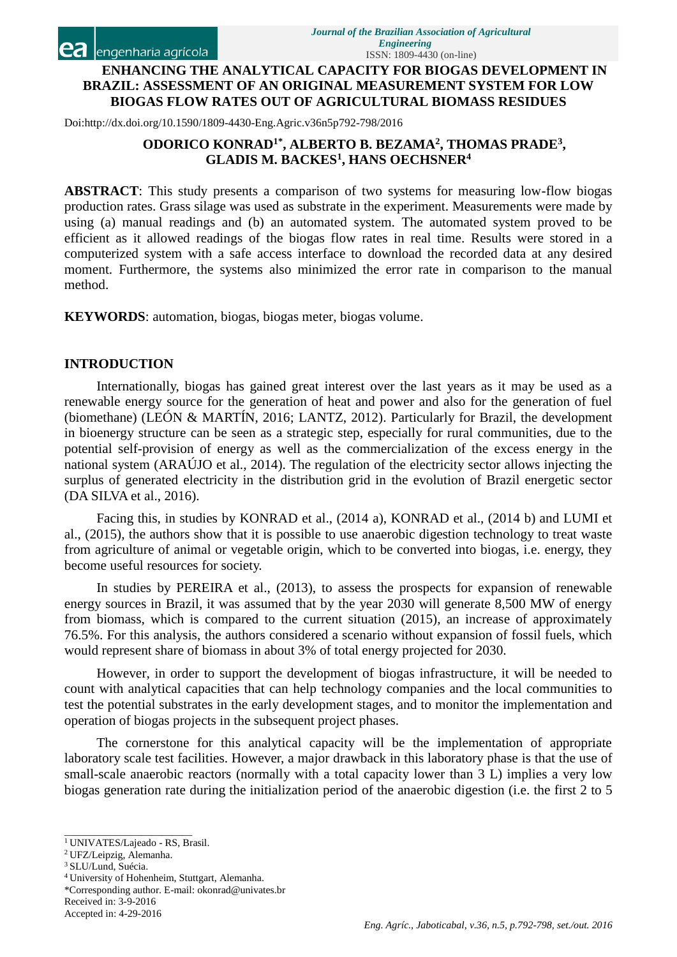# **ENHANCING THE ANALYTICAL CAPACITY FOR BIOGAS DEVELOPMENT IN BRAZIL: ASSESSMENT OF AN ORIGINAL MEASUREMENT SYSTEM FOR LOW BIOGAS FLOW RATES OUT OF AGRICULTURAL BIOMASS RESIDUES**

Doi:http://dx.doi.org/10.1590/1809-4430-Eng.Agric.v36n5p792-798/2016

# **ODORICO KONRAD1\*, ALBERTO B. BEZAMA<sup>2</sup> , THOMAS PRADE<sup>3</sup> , GLADIS M. BACKES<sup>1</sup> , HANS OECHSNER<sup>4</sup>**

**ABSTRACT**: This study presents a comparison of two systems for measuring low-flow biogas production rates. Grass silage was used as substrate in the experiment. Measurements were made by using (a) manual readings and (b) an automated system. The automated system proved to be efficient as it allowed readings of the biogas flow rates in real time. Results were stored in a computerized system with a safe access interface to download the recorded data at any desired moment. Furthermore, the systems also minimized the error rate in comparison to the manual method.

**KEYWORDS**: automation, biogas, biogas meter, biogas volume.

## **INTRODUCTION**

Internationally, biogas has gained great interest over the last years as it may be used as a renewable energy source for the generation of heat and power and also for the generation of fuel (biomethane) (LEÓN & MARTÍN, 2016; LANTZ, 2012). Particularly for Brazil, the development in bioenergy structure can be seen as a strategic step, especially for rural communities, due to the potential self-provision of energy as well as the commercialization of the excess energy in the national system (ARAÚJO et al., 2014). The regulation of the electricity sector allows injecting the surplus of generated electricity in the distribution grid in the evolution of Brazil energetic sector (DA SILVA et al., 2016).

Facing this, in studies by KONRAD et al., (2014 a), KONRAD et al., (2014 b) and LUMI et al., (2015), the authors show that it is possible to use anaerobic digestion technology to treat waste from agriculture of animal or vegetable origin, which to be converted into biogas, i.e. energy, they become useful resources for society.

In studies by PEREIRA et al., (2013), to assess the prospects for expansion of renewable energy sources in Brazil, it was assumed that by the year 2030 will generate 8,500 MW of energy from biomass, which is compared to the current situation (2015), an increase of approximately 76.5%. For this analysis, the authors considered a scenario without expansion of fossil fuels, which would represent share of biomass in about 3% of total energy projected for 2030.

However, in order to support the development of biogas infrastructure, it will be needed to count with analytical capacities that can help technology companies and the local communities to test the potential substrates in the early development stages, and to monitor the implementation and operation of biogas projects in the subsequent project phases.

The cornerstone for this analytical capacity will be the implementation of appropriate laboratory scale test facilities. However, a major drawback in this laboratory phase is that the use of small-scale anaerobic reactors (normally with a total capacity lower than 3 L) implies a very low biogas generation rate during the initialization period of the anaerobic digestion (i.e. the first 2 to 5

- <sup>3</sup> SLU/Lund, Suécia.
- <sup>4</sup>University of Hohenheim, Stuttgart, Alemanha.
- \*Corresponding author. E-mail[: okonrad@univates.br](mailto:okonrad@univates.br) Received in: 3-9-2016

\_\_\_\_\_\_\_\_\_\_\_\_\_\_\_\_\_\_\_\_\_\_\_\_\_ <sup>1</sup> UNIVATES/Lajeado - RS, Brasil.

<sup>2</sup> UFZ/Leipzig, Alemanha.

Accepted in: 4-29-2016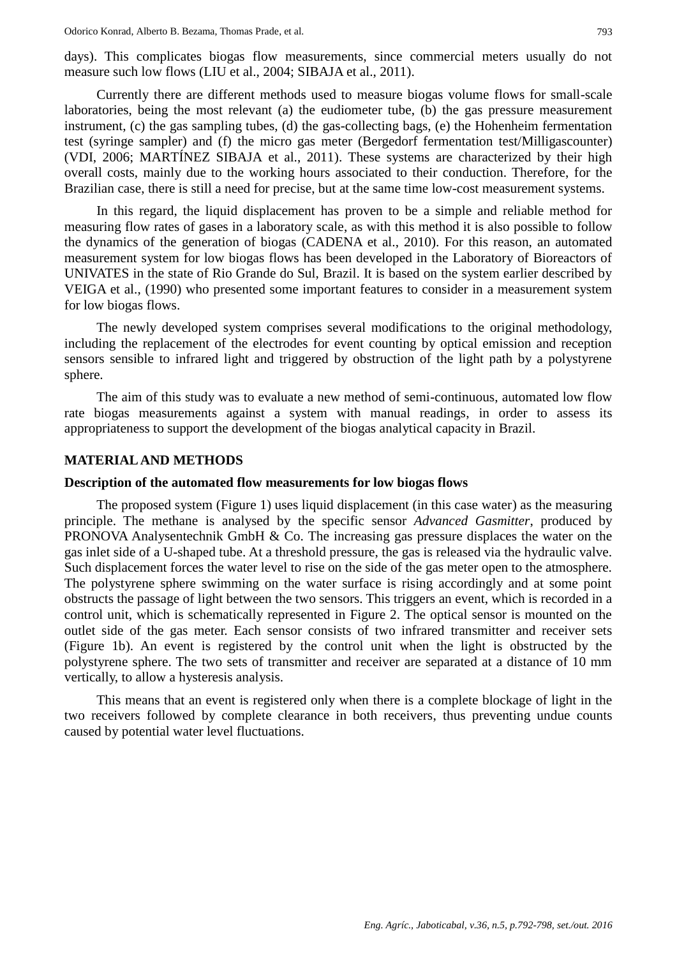days). This complicates biogas flow measurements, since commercial meters usually do not measure such low flows (LIU et al., 2004; SIBAJA et al., 2011).

Currently there are different methods used to measure biogas volume flows for small-scale laboratories, being the most relevant (a) the eudiometer tube, (b) the gas pressure measurement instrument, (c) the gas sampling tubes, (d) the gas-collecting bags, (e) the Hohenheim fermentation test (syringe sampler) and (f) the micro gas meter (Bergedorf fermentation test/Milligascounter) (VDI, 2006; MARTÍNEZ SIBAJA et al., 2011). These systems are characterized by their high overall costs, mainly due to the working hours associated to their conduction. Therefore, for the Brazilian case, there is still a need for precise, but at the same time low-cost measurement systems.

In this regard, the liquid displacement has proven to be a simple and reliable method for measuring flow rates of gases in a laboratory scale, as with this method it is also possible to follow the dynamics of the generation of biogas (CADENA et al., 2010). For this reason, an automated measurement system for low biogas flows has been developed in the Laboratory of Bioreactors of UNIVATES in the state of Rio Grande do Sul, Brazil. It is based on the system earlier described by VEIGA et al., (1990) who presented some important features to consider in a measurement system for low biogas flows.

The newly developed system comprises several modifications to the original methodology, including the replacement of the electrodes for event counting by optical emission and reception sensors sensible to infrared light and triggered by obstruction of the light path by a polystyrene sphere.

The aim of this study was to evaluate a new method of semi-continuous, automated low flow rate biogas measurements against a system with manual readings, in order to assess its appropriateness to support the development of the biogas analytical capacity in Brazil.

#### **MATERIALAND METHODS**

### **Description of the automated flow measurements for low biogas flows**

The proposed system (Figure 1) uses liquid displacement (in this case water) as the measuring principle. The methane is analysed by the specific sensor *Advanced Gasmitter*, produced by PRONOVA Analysentechnik GmbH & Co. The increasing gas pressure displaces the water on the gas inlet side of a U-shaped tube. At a threshold pressure, the gas is released via the hydraulic valve. Such displacement forces the water level to rise on the side of the gas meter open to the atmosphere. The polystyrene sphere swimming on the water surface is rising accordingly and at some point obstructs the passage of light between the two sensors. This triggers an event, which is recorded in a control unit, which is schematically represented in Figure 2. The optical sensor is mounted on the outlet side of the gas meter. Each sensor consists of two infrared transmitter and receiver sets (Figure 1b). An event is registered by the control unit when the light is obstructed by the polystyrene sphere. The two sets of transmitter and receiver are separated at a distance of 10 mm vertically, to allow a hysteresis analysis.

This means that an event is registered only when there is a complete blockage of light in the two receivers followed by complete clearance in both receivers, thus preventing undue counts caused by potential water level fluctuations.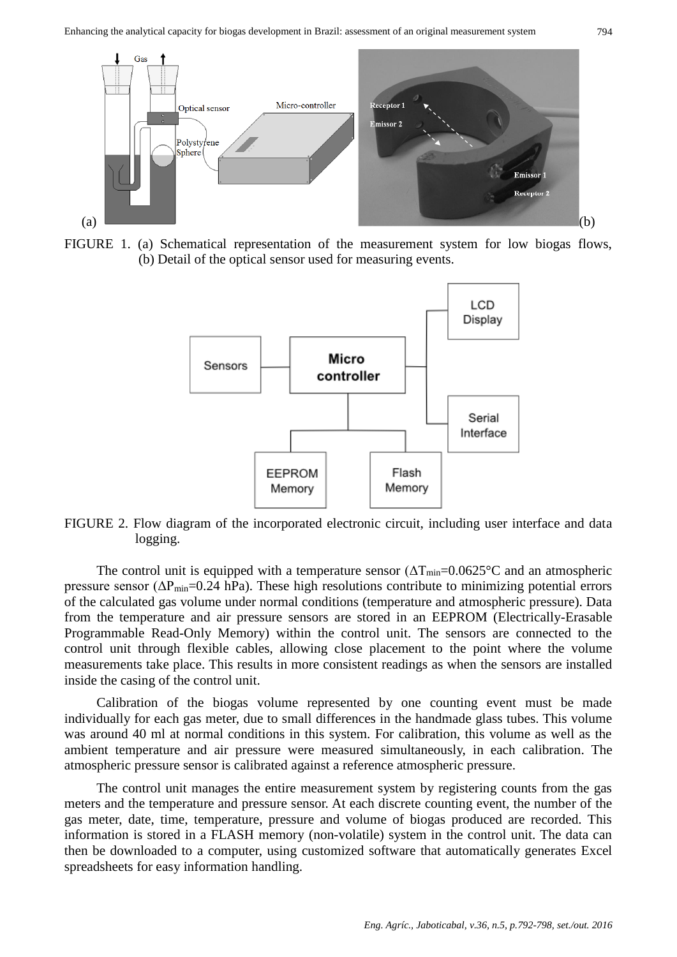

FIGURE 1. (a) Schematical representation of the measurement system for low biogas flows, (b) Detail of the optical sensor used for measuring events.



FIGURE 2. Flow diagram of the incorporated electronic circuit, including user interface and data logging.

The control unit is equipped with a temperature sensor  $(\Delta T_{min}=0.0625^{\circ}C)$  and an atmospheric pressure sensor  $(\Delta P_{min}=0.24 \text{ hPa})$ . These high resolutions contribute to minimizing potential errors of the calculated gas volume under normal conditions (temperature and atmospheric pressure). Data from the temperature and air pressure sensors are stored in an EEPROM (Electrically-Erasable Programmable Read-Only Memory) within the control unit. The sensors are connected to the control unit through flexible cables, allowing close placement to the point where the volume measurements take place. This results in more consistent readings as when the sensors are installed inside the casing of the control unit.

Calibration of the biogas volume represented by one counting event must be made individually for each gas meter, due to small differences in the handmade glass tubes. This volume was around 40 ml at normal conditions in this system. For calibration, this volume as well as the ambient temperature and air pressure were measured simultaneously, in each calibration. The atmospheric pressure sensor is calibrated against a reference atmospheric pressure.

The control unit manages the entire measurement system by registering counts from the gas meters and the temperature and pressure sensor. At each discrete counting event, the number of the gas meter, date, time, temperature, pressure and volume of biogas produced are recorded. This information is stored in a FLASH memory (non-volatile) system in the control unit. The data can then be downloaded to a computer, using customized software that automatically generates Excel spreadsheets for easy information handling.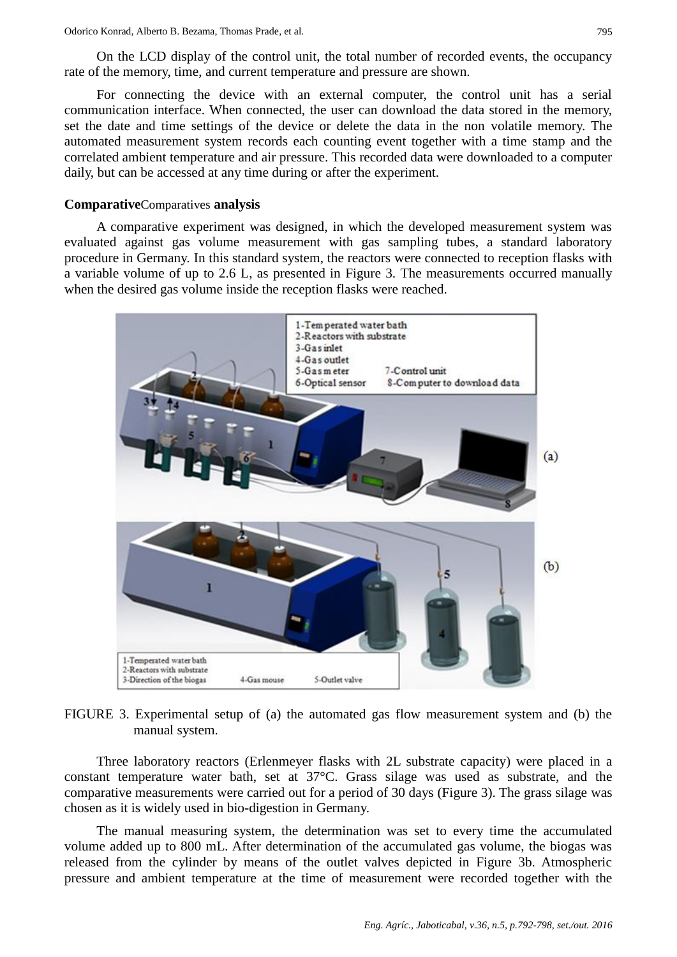On the LCD display of the control unit, the total number of recorded events, the occupancy rate of the memory, time, and current temperature and pressure are shown.

For connecting the device with an external computer, the control unit has a serial communication interface. When connected, the user can download the data stored in the memory, set the date and time settings of the device or delete the data in the non volatile memory. The automated measurement system records each counting event together with a time stamp and the correlated ambient temperature and air pressure. This recorded data were downloaded to a computer daily, but can be accessed at any time during or after the experiment.

## **Comparative**Comparatives **analysis**

A comparative experiment was designed, in which the developed measurement system was evaluated against gas volume measurement with gas sampling tubes, a standard laboratory procedure in Germany. In this standard system, the reactors were connected to reception flasks with a variable volume of up to 2.6 L, as presented in Figure 3. The measurements occurred manually when the desired gas volume inside the reception flasks were reached.



FIGURE 3. Experimental setup of (a) the automated gas flow measurement system and (b) the manual system.

Three laboratory reactors (Erlenmeyer flasks with 2L substrate capacity) were placed in a constant temperature water bath, set at 37°C. Grass silage was used as substrate, and the comparative measurements were carried out for a period of 30 days (Figure 3). The grass silage was chosen as it is widely used in bio-digestion in Germany.

The manual measuring system, the determination was set to every time the accumulated volume added up to 800 mL. After determination of the accumulated gas volume, the biogas was released from the cylinder by means of the outlet valves depicted in Figure 3b. Atmospheric pressure and ambient temperature at the time of measurement were recorded together with the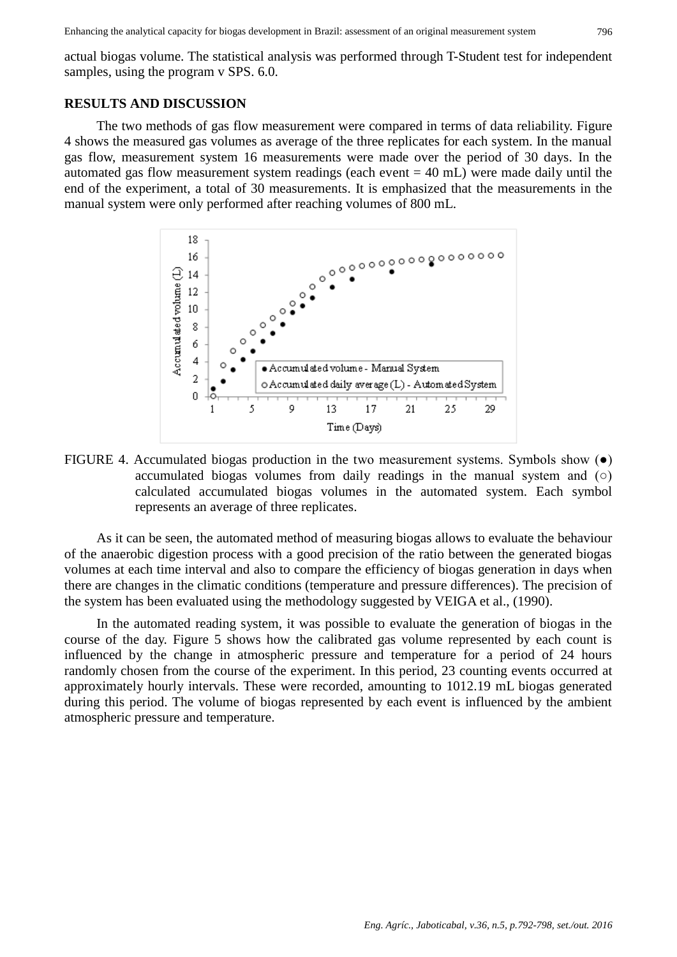actual biogas volume. The statistical analysis was performed through T-Student test for independent samples, using the program v SPS. 6.0.

### **RESULTS AND DISCUSSION**

The two methods of gas flow measurement were compared in terms of data reliability. Figure 4 shows the measured gas volumes as average of the three replicates for each system. In the manual gas flow, measurement system 16 measurements were made over the period of 30 days. In the automated gas flow measurement system readings (each event  $= 40$  mL) were made daily until the end of the experiment, a total of 30 measurements. It is emphasized that the measurements in the manual system were only performed after reaching volumes of 800 mL.



FIGURE 4. Accumulated biogas production in the two measurement systems. Symbols show (●) accumulated biogas volumes from daily readings in the manual system and  $\circ$ ) calculated accumulated biogas volumes in the automated system. Each symbol represents an average of three replicates.

As it can be seen, the automated method of measuring biogas allows to evaluate the behaviour of the anaerobic digestion process with a good precision of the ratio between the generated biogas volumes at each time interval and also to compare the efficiency of biogas generation in days when there are changes in the climatic conditions (temperature and pressure differences). The precision of the system has been evaluated using the methodology suggested by VEIGA et al., (1990).

In the automated reading system, it was possible to evaluate the generation of biogas in the course of the day. Figure 5 shows how the calibrated gas volume represented by each count is influenced by the change in atmospheric pressure and temperature for a period of 24 hours randomly chosen from the course of the experiment. In this period, 23 counting events occurred at approximately hourly intervals. These were recorded, amounting to 1012.19 mL biogas generated during this period. The volume of biogas represented by each event is influenced by the ambient atmospheric pressure and temperature.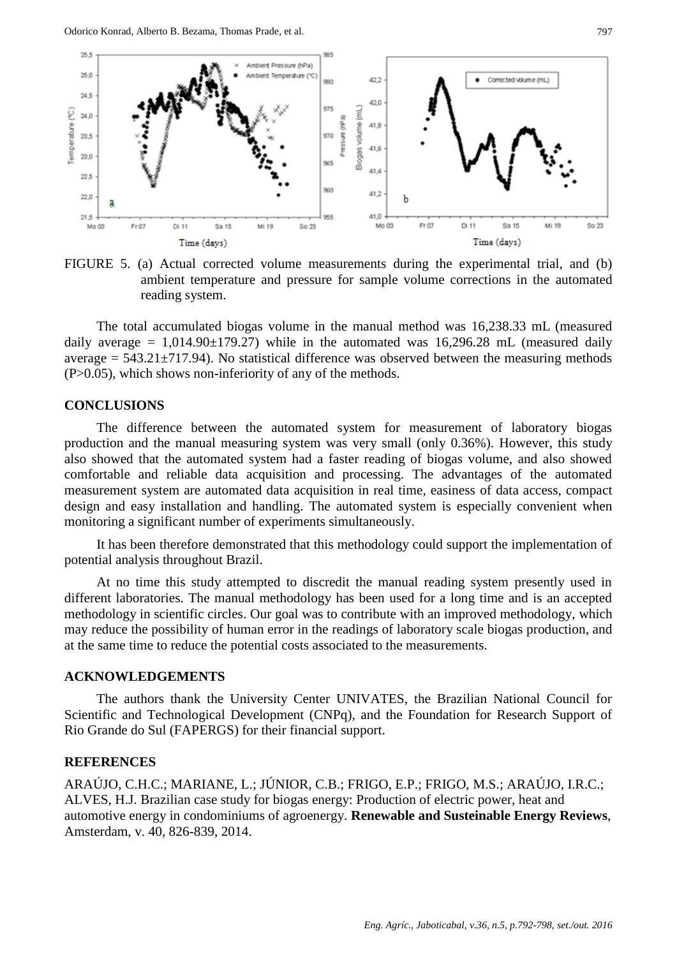

FIGURE 5. (a) Actual corrected volume measurements during the experimental trial, and (b) ambient temperature and pressure for sample volume corrections in the automated reading system.

The total accumulated biogas volume in the manual method was 16,238.33 mL (measured daily average =  $1,014.90\pm179.27$ ) while in the automated was 16,296.28 mL (measured daily average  $= 543.21 \pm 717.94$ ). No statistical difference was observed between the measuring methods  $(P>0.05)$ , which shows non-inferiority of any of the methods.

## **CONCLUSIONS**

The difference between the automated system for measurement of laboratory biogas production and the manual measuring system was very small (only 0.36%). However, this study also showed that the automated system had a faster reading of biogas volume, and also showed comfortable and reliable data acquisition and processing. The advantages of the automated measurement system are automated data acquisition in real time, easiness of data access, compact design and easy installation and handling. The automated system is especially convenient when monitoring a significant number of experiments simultaneously.

It has been therefore demonstrated that this methodology could support the implementation of potential analysis throughout Brazil.

At no time this study attempted to discredit the manual reading system presently used in different laboratories. The manual methodology has been used for a long time and is an accepted methodology in scientific circles. Our goal was to contribute with an improved methodology, which may reduce the possibility of human error in the readings of laboratory scale biogas production, and at the same time to reduce the potential costs associated to the measurements.

### **ACKNOWLEDGEMENTS**

The authors thank the University Center UNIVATES, the Brazilian National Council for Scientific and Technological Development (CNPq), and the Foundation for Research Support of Rio Grande do Sul (FAPERGS) for their financial support.

## **REFERENCES**

ARAÚJO, C.H.C.; MARIANE, L.; JÚNIOR, C.B.; FRIGO, E.P.; FRIGO, M.S.; ARAÚJO, I.R.C.; ALVES, H.J. Brazilian case study for biogas energy: Production of electric power, heat and automotive energy in condominiums of agroenergy. **Renewable and Susteinable Energy Reviews**, Amsterdam, v. 40, 826-839, 2014.